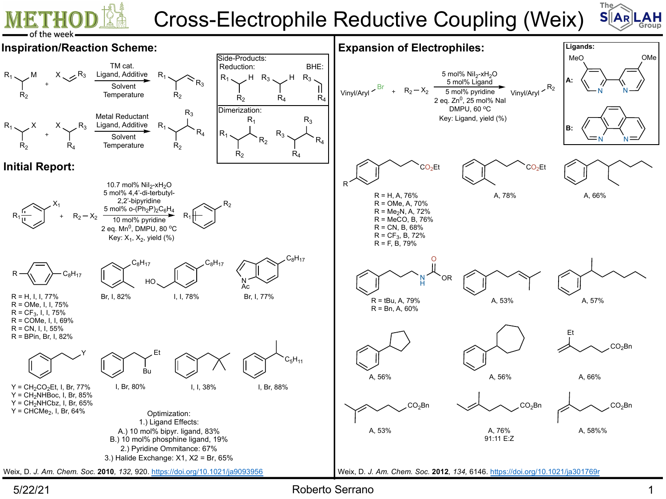## Cross-Electrophile Reductive Coupling (Wei



5/22/21 Roberto Serrano 1